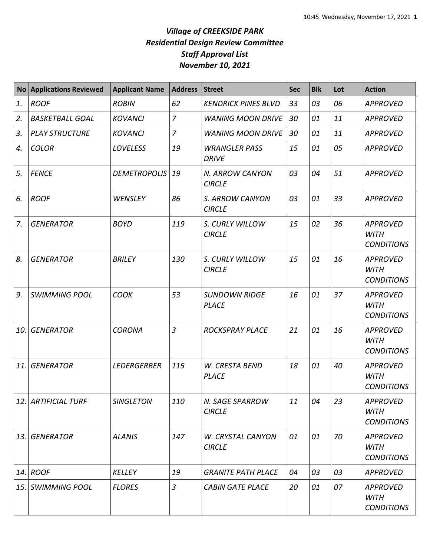|     | <b>No Applications Reviewed</b> | <b>Applicant Name</b> | <b>Address</b> | <b>Street</b>                        | <b>Sec</b> | <b>Blk</b> | Lot | <b>Action</b>                                       |
|-----|---------------------------------|-----------------------|----------------|--------------------------------------|------------|------------|-----|-----------------------------------------------------|
| 1.  | <b>ROOF</b>                     | <b>ROBIN</b>          | 62             | <b>KENDRICK PINES BLVD</b>           | 33         | 03         | 06  | <b>APPROVED</b>                                     |
| 2.  | <b>BASKETBALL GOAL</b>          | <b>KOVANCI</b>        | $\overline{7}$ | <b>WANING MOON DRIVE</b>             | 30         | 01         | 11  | <b>APPROVED</b>                                     |
| 3.  | <b>PLAY STRUCTURE</b>           | <b>KOVANCI</b>        | $\overline{7}$ | <b>WANING MOON DRIVE</b>             | 30         | 01         | 11  | <b>APPROVED</b>                                     |
| 4.  | <b>COLOR</b>                    | <b>LOVELESS</b>       | 19             | <b>WRANGLER PASS</b><br><b>DRIVE</b> | 15         | 01         | 05  | <b>APPROVED</b>                                     |
| 5.  | <b>FENCE</b>                    | <b>DEMETROPOLIS</b>   | 19             | N. ARROW CANYON<br><b>CIRCLE</b>     | 03         | 04         | 51  | <b>APPROVED</b>                                     |
| 6.  | <b>ROOF</b>                     | WENSLEY               | 86             | S. ARROW CANYON<br><b>CIRCLE</b>     | 03         | 01         | 33  | <b>APPROVED</b>                                     |
| 7.  | <b>GENERATOR</b>                | <b>BOYD</b>           | 119            | S. CURLY WILLOW<br><b>CIRCLE</b>     | 15         | 02         | 36  | <b>APPROVED</b><br><b>WITH</b><br><b>CONDITIONS</b> |
| 8.  | <b>GENERATOR</b>                | <b>BRILEY</b>         | 130            | S. CURLY WILLOW<br><b>CIRCLE</b>     | 15         | 01         | 16  | <b>APPROVED</b><br><b>WITH</b><br><b>CONDITIONS</b> |
| 9.  | <b>SWIMMING POOL</b>            | <b>COOK</b>           | 53             | <b>SUNDOWN RIDGE</b><br><b>PLACE</b> | 16         | 01         | 37  | <b>APPROVED</b><br><b>WITH</b><br><b>CONDITIONS</b> |
| 10. | <b>GENERATOR</b>                | <b>CORONA</b>         | $\overline{3}$ | <b>ROCKSPRAY PLACE</b>               | 21         | 01         | 16  | <b>APPROVED</b><br><b>WITH</b><br><b>CONDITIONS</b> |
| 11. | <b>GENERATOR</b>                | <b>LEDERGERBER</b>    | 115            | W. CRESTA BEND<br><b>PLACE</b>       | 18         | 01         | 40  | <b>APPROVED</b><br><b>WITH</b><br><b>CONDITIONS</b> |
|     | 12. ARTIFICIAL TURF             | <b>SINGLETON</b>      | 110            | N. SAGE SPARROW<br><b>CIRCLE</b>     | 11         | 04         | 23  | <b>APPROVED</b><br><b>WITH</b><br><b>CONDITIONS</b> |
| 13. | <b>GENERATOR</b>                | <b>ALANIS</b>         | 147            | W. CRYSTAL CANYON<br><b>CIRCLE</b>   | 01         | 01         | 70  | <b>APPROVED</b><br><b>WITH</b><br><b>CONDITIONS</b> |
|     | $14.$ ROOF                      | <b>KELLEY</b>         | 19             | <b>GRANITE PATH PLACE</b>            | 04         | 03         | 03  | <b>APPROVED</b>                                     |
| 15. | SWIMMING POOL                   | <b>FLORES</b>         | $\mathfrak{Z}$ | <b>CABIN GATE PLACE</b>              | 20         | 01         | 07  | <b>APPROVED</b><br><b>WITH</b><br><b>CONDITIONS</b> |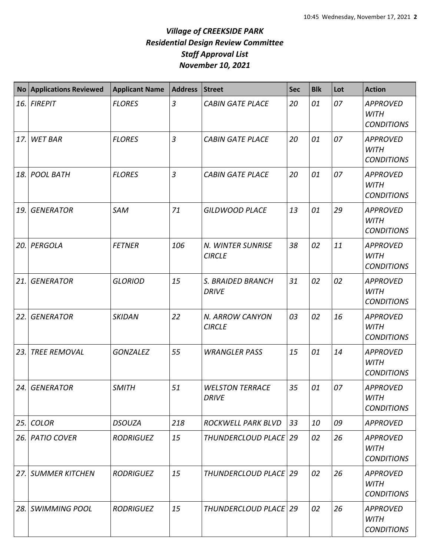| <b>No</b> | <b>Applications Reviewed</b> | <b>Applicant Name</b> | <b>Address</b> | <b>Street</b>                          | <b>Sec</b> | <b>Blk</b> | Lot | <b>Action</b>                                       |
|-----------|------------------------------|-----------------------|----------------|----------------------------------------|------------|------------|-----|-----------------------------------------------------|
| 16.       | <b>FIREPIT</b>               | <b>FLORES</b>         | $\overline{3}$ | <b>CABIN GATE PLACE</b>                | 20         | 01         | 07  | <b>APPROVED</b><br><b>WITH</b><br><b>CONDITIONS</b> |
| 17.       | <b>WET BAR</b>               | <b>FLORES</b>         | $\overline{3}$ | <b>CABIN GATE PLACE</b>                | 20         | 01         | 07  | <b>APPROVED</b><br><b>WITH</b><br><b>CONDITIONS</b> |
| 18.       | <b>POOL BATH</b>             | <b>FLORES</b>         | $\overline{3}$ | <b>CABIN GATE PLACE</b>                | 20         | 01         | 07  | <b>APPROVED</b><br><b>WITH</b><br><b>CONDITIONS</b> |
| 19.       | <b>GENERATOR</b>             | SAM                   | 71             | <b>GILDWOOD PLACE</b>                  | 13         | 01         | 29  | <b>APPROVED</b><br><b>WITH</b><br><b>CONDITIONS</b> |
| 20.       | PERGOLA                      | <b>FETNER</b>         | 106            | N. WINTER SUNRISE<br><b>CIRCLE</b>     | 38         | 02         | 11  | <b>APPROVED</b><br><b>WITH</b><br><b>CONDITIONS</b> |
| 21.       | <b>GENERATOR</b>             | <b>GLORIOD</b>        | 15             | S. BRAIDED BRANCH<br><b>DRIVE</b>      | 31         | 02         | 02  | <b>APPROVED</b><br><b>WITH</b><br><b>CONDITIONS</b> |
| 22.       | <b>GENERATOR</b>             | <b>SKIDAN</b>         | 22             | N. ARROW CANYON<br><b>CIRCLE</b>       | 03         | 02         | 16  | <b>APPROVED</b><br><b>WITH</b><br><b>CONDITIONS</b> |
| 23.       | <b>TREE REMOVAL</b>          | <b>GONZALEZ</b>       | 55             | <b>WRANGLER PASS</b>                   | 15         | 01         | 14  | <b>APPROVED</b><br><b>WITH</b><br><b>CONDITIONS</b> |
| 24.       | <b>GENERATOR</b>             | <b>SMITH</b>          | 51             | <b>WELSTON TERRACE</b><br><b>DRIVE</b> | 35         | 01         | 07  | <b>APPROVED</b><br><b>WITH</b><br><b>CONDITIONS</b> |
| 25.       | <b>COLOR</b>                 | <b>DSOUZA</b>         | 218            | ROCKWELL PARK BLVD                     | 33         | 10         | 09  | <b>APPROVED</b>                                     |
| 26.       | <b>PATIO COVER</b>           | <b>RODRIGUEZ</b>      | 15             | THUNDERCLOUD PLACE   29                |            | 02         | 26  | <b>APPROVED</b><br><b>WITH</b><br><b>CONDITIONS</b> |
| 27.       | <b>SUMMER KITCHEN</b>        | <b>RODRIGUEZ</b>      | 15             | THUNDERCLOUD PLACE   29                |            | 02         | 26  | <b>APPROVED</b><br><b>WITH</b><br><b>CONDITIONS</b> |
| 28.       | <b>SWIMMING POOL</b>         | <b>RODRIGUEZ</b>      | 15             | THUNDERCLOUD PLACE   29                |            | 02         | 26  | <b>APPROVED</b><br><b>WITH</b><br><b>CONDITIONS</b> |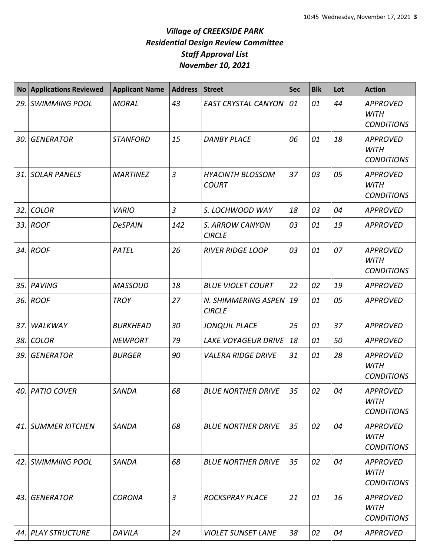| No   | <b>Applications Reviewed</b> | <b>Applicant Name</b> | <b>Address</b> | <b>Street</b>                           | Sec | <b>Blk</b> | Lot | <b>Action</b>                                       |
|------|------------------------------|-----------------------|----------------|-----------------------------------------|-----|------------|-----|-----------------------------------------------------|
| 29.  | <b>SWIMMING POOL</b>         | <b>MORAL</b>          | 43             | <b>EAST CRYSTAL CANYON</b>              | 01  | 01         | 44  | <b>APPROVED</b><br><b>WITH</b><br><b>CONDITIONS</b> |
| 30.  | <b>GENERATOR</b>             | <b>STANFORD</b>       | 15             | <b>DANBY PLACE</b>                      | 06  | 01         | 18  | <b>APPROVED</b><br><b>WITH</b><br><b>CONDITIONS</b> |
| 31.  | <b>SOLAR PANELS</b>          | <b>MARTINEZ</b>       | 3              | <b>HYACINTH BLOSSOM</b><br><b>COURT</b> | 37  | 03         | 05  | <b>APPROVED</b><br><b>WITH</b><br><b>CONDITIONS</b> |
| 32.  | <b>COLOR</b>                 | <b>VARIO</b>          | $\overline{3}$ | S. LOCHWOOD WAY                         | 18  | 03         | 04  | <b>APPROVED</b>                                     |
|      | 33. ROOF                     | <b>DeSPAIN</b>        | 142            | S. ARROW CANYON<br><b>CIRCLE</b>        | 03  | 01         | 19  | <b>APPROVED</b>                                     |
|      | 34. ROOF                     | PATEL                 | 26             | <b>RIVER RIDGE LOOP</b>                 | 03  | 01         | 07  | <b>APPROVED</b><br><b>WITH</b><br><b>CONDITIONS</b> |
| 35.  | <b>PAVING</b>                | <b>MASSOUD</b>        | 18             | <b>BLUE VIOLET COURT</b>                | 22  | 02         | 19  | <b>APPROVED</b>                                     |
|      | 36. ROOF                     | <b>TROY</b>           | 27             | N. SHIMMERING ASPEN<br><b>CIRCLE</b>    | 19  | 01         | 05  | <b>APPROVED</b>                                     |
| 37.  | <b>WALKWAY</b>               | <b>BURKHEAD</b>       | 30             | <b>JONQUIL PLACE</b>                    | 25  | 01         | 37  | <b>APPROVED</b>                                     |
| 38.  | <b>COLOR</b>                 | <b>NEWPORT</b>        | 79             | <b>LAKE VOYAGEUR DRIVE</b>              | 18  | 01         | 50  | <b>APPROVED</b>                                     |
| 39.  | <b>GENERATOR</b>             | <b>BURGER</b>         | 90             | <b>VALERA RIDGE DRIVE</b>               | 31  | 01         | 28  | <b>APPROVED</b><br><b>WITH</b><br><b>CONDITIONS</b> |
|      | 40. PATIO COVER              | SANDA                 | 68             | <b>BLUE NORTHER DRIVE</b>               | 35  | 02         | 04  | <b>APPROVED</b><br><b>WITH</b><br><b>CONDITIONS</b> |
| 41.I | <b>SUMMER KITCHEN</b>        | <b>SANDA</b>          | 68             | <b>BLUE NORTHER DRIVE</b>               | 35  | 02         | 04  | <b>APPROVED</b><br><b>WITH</b><br><b>CONDITIONS</b> |
| 42.  | <b>SWIMMING POOL</b>         | <b>SANDA</b>          | 68             | <b>BLUE NORTHER DRIVE</b>               | 35  | 02         | 04  | <b>APPROVED</b><br><b>WITH</b><br><b>CONDITIONS</b> |
|      | 43. GENERATOR                | <b>CORONA</b>         | 3              | <b>ROCKSPRAY PLACE</b>                  | 21  | 01         | 16  | <b>APPROVED</b><br><b>WITH</b><br><b>CONDITIONS</b> |
|      | 44. PLAY STRUCTURE           | DAVILA                | 24             | <b>VIOLET SUNSET LANE</b>               | 38  | 02         | 04  | <b>APPROVED</b>                                     |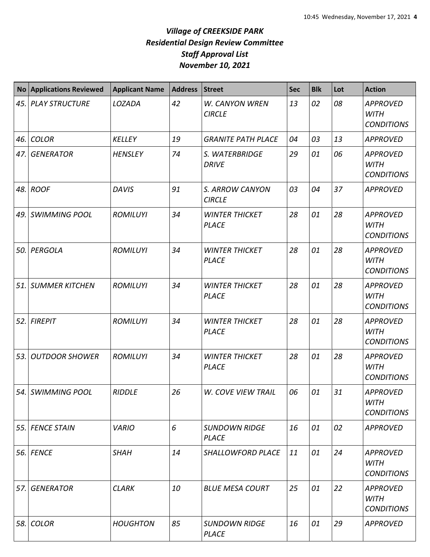| <b>No</b> | <b>Applications Reviewed</b> | <b>Applicant Name</b> | <b>Address</b> | <b>Street</b>                         | <b>Sec</b> | <b>Blk</b> | Lot | <b>Action</b>                                       |
|-----------|------------------------------|-----------------------|----------------|---------------------------------------|------------|------------|-----|-----------------------------------------------------|
| 45.       | <b>PLAY STRUCTURE</b>        | LOZADA                | 42             | W. CANYON WREN<br><b>CIRCLE</b>       | 13         | 02         | 08  | <b>APPROVED</b><br><b>WITH</b><br><b>CONDITIONS</b> |
| 46.       | <b>COLOR</b>                 | <b>KELLEY</b>         | 19             | <b>GRANITE PATH PLACE</b>             | 04         | 03         | 13  | <b>APPROVED</b>                                     |
| 47.       | <b>GENERATOR</b>             | <b>HENSLEY</b>        | 74             | S. WATERBRIDGE<br><b>DRIVE</b>        | 29         | 01         | 06  | <b>APPROVED</b><br><b>WITH</b><br><b>CONDITIONS</b> |
|           | 48. ROOF                     | <b>DAVIS</b>          | 91             | S. ARROW CANYON<br><b>CIRCLE</b>      | 03         | 04         | 37  | <b>APPROVED</b>                                     |
| 49.       | <b>SWIMMING POOL</b>         | <b>ROMILUYI</b>       | 34             | <b>WINTER THICKET</b><br><b>PLACE</b> | 28         | 01         | 28  | <b>APPROVED</b><br><b>WITH</b><br><b>CONDITIONS</b> |
| 50.       | PERGOLA                      | <b>ROMILUYI</b>       | 34             | <b>WINTER THICKET</b><br><b>PLACE</b> | 28         | 01         | 28  | <b>APPROVED</b><br><b>WITH</b><br><b>CONDITIONS</b> |
| 51.       | <b>SUMMER KITCHEN</b>        | <b>ROMILUYI</b>       | 34             | <b>WINTER THICKET</b><br><b>PLACE</b> | 28         | 01         | 28  | <b>APPROVED</b><br><b>WITH</b><br><b>CONDITIONS</b> |
| 52.       | <b>FIREPIT</b>               | <b>ROMILUYI</b>       | 34             | <b>WINTER THICKET</b><br><b>PLACE</b> | 28         | 01         | 28  | <b>APPROVED</b><br><b>WITH</b><br><b>CONDITIONS</b> |
| 53.       | <b>OUTDOOR SHOWER</b>        | <b>ROMILUYI</b>       | 34             | <b>WINTER THICKET</b><br><b>PLACE</b> | 28         | 01         | 28  | <b>APPROVED</b><br><b>WITH</b><br><b>CONDITIONS</b> |
|           | 54. SWIMMING POOL            | <b>RIDDLE</b>         | 26             | <b>W. COVE VIEW TRAIL</b>             | 06         | 01         | 31  | <b>APPROVED</b><br><b>WITH</b><br><b>CONDITIONS</b> |
| 55.       | <b>FENCE STAIN</b>           | <b>VARIO</b>          | 6              | <b>SUNDOWN RIDGE</b><br><b>PLACE</b>  | 16         | 01         | 02  | <b>APPROVED</b>                                     |
| 56.       | <b>FENCE</b>                 | <b>SHAH</b>           | 14             | <b>SHALLOWFORD PLACE</b>              | 11         | 01         | 24  | <b>APPROVED</b><br>WITH<br><b>CONDITIONS</b>        |
| 57.       | <b>GENERATOR</b>             | <b>CLARK</b>          | 10             | <b>BLUE MESA COURT</b>                | 25         | 01         | 22  | <b>APPROVED</b><br><b>WITH</b><br><b>CONDITIONS</b> |
| 58.       | <b>COLOR</b>                 | <b>HOUGHTON</b>       | 85             | <b>SUNDOWN RIDGE</b><br><b>PLACE</b>  | 16         | 01         | 29  | <b>APPROVED</b>                                     |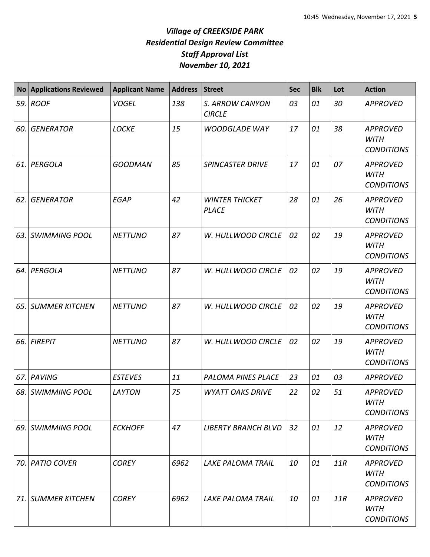| <b>No</b> | <b>Applications Reviewed</b> | <b>Applicant Name</b> | <b>Address</b> | <b>Street</b>                         | Sec | <b>Blk</b> | Lot | <b>Action</b>                                       |
|-----------|------------------------------|-----------------------|----------------|---------------------------------------|-----|------------|-----|-----------------------------------------------------|
| 59.       | <b>ROOF</b>                  | <b>VOGEL</b>          | 138            | S. ARROW CANYON<br><b>CIRCLE</b>      | 03  | 01         | 30  | <b>APPROVED</b>                                     |
| 60.       | <b>GENERATOR</b>             | <b>LOCKE</b>          | 15             | <b>WOODGLADE WAY</b>                  | 17  | 01         | 38  | <b>APPROVED</b><br><b>WITH</b><br><b>CONDITIONS</b> |
| 61.       | PERGOLA                      | <b>GOODMAN</b>        | 85             | <b>SPINCASTER DRIVE</b>               | 17  | 01         | 07  | <b>APPROVED</b><br><b>WITH</b><br><b>CONDITIONS</b> |
| 62.       | <b>GENERATOR</b>             | <b>EGAP</b>           | 42             | <b>WINTER THICKET</b><br><b>PLACE</b> | 28  | 01         | 26  | <b>APPROVED</b><br><b>WITH</b><br><b>CONDITIONS</b> |
| 63.       | <b>SWIMMING POOL</b>         | <b>NETTUNO</b>        | 87             | W. HULLWOOD CIRCLE                    | 02  | 02         | 19  | <b>APPROVED</b><br><b>WITH</b><br><b>CONDITIONS</b> |
| 64.       | PERGOLA                      | <b>NETTUNO</b>        | 87             | W. HULLWOOD CIRCLE                    | 02  | 02         | 19  | <b>APPROVED</b><br><b>WITH</b><br><b>CONDITIONS</b> |
| 65.       | <b>SUMMER KITCHEN</b>        | <b>NETTUNO</b>        | 87             | W. HULLWOOD CIRCLE                    | 02  | 02         | 19  | <b>APPROVED</b><br><b>WITH</b><br><b>CONDITIONS</b> |
| 66.       | <b>FIREPIT</b>               | <b>NETTUNO</b>        | 87             | W. HULLWOOD CIRCLE                    | 02  | 02         | 19  | <b>APPROVED</b><br><b>WITH</b><br><b>CONDITIONS</b> |
| 67.       | <b>PAVING</b>                | <b>ESTEVES</b>        | 11             | PALOMA PINES PLACE                    | 23  | 01         | 03  | <b>APPROVED</b>                                     |
|           | 68. SWIMMING POOL            | LAYTON                | 75             | <b>WYATT OAKS DRIVE</b>               | 22  | 02         | 51  | <b>APPROVED</b><br><b>WITH</b><br><b>CONDITIONS</b> |
| 69. I     | <b>SWIMMING POOL</b>         | <b>ECKHOFF</b>        | 47             | <b>LIBERTY BRANCH BLVD</b>            | 32  | 01         | 12  | <b>APPROVED</b><br>WITH<br><b>CONDITIONS</b>        |
| 70.       | <b>PATIO COVER</b>           | <b>COREY</b>          | 6962           | <b>LAKE PALOMA TRAIL</b>              | 10  | 01         | 11R | <b>APPROVED</b><br><b>WITH</b><br><b>CONDITIONS</b> |
| 71.       | <b>SUMMER KITCHEN</b>        | <b>COREY</b>          | 6962           | <b>LAKE PALOMA TRAIL</b>              | 10  | 01         | 11R | <b>APPROVED</b><br><b>WITH</b><br><b>CONDITIONS</b> |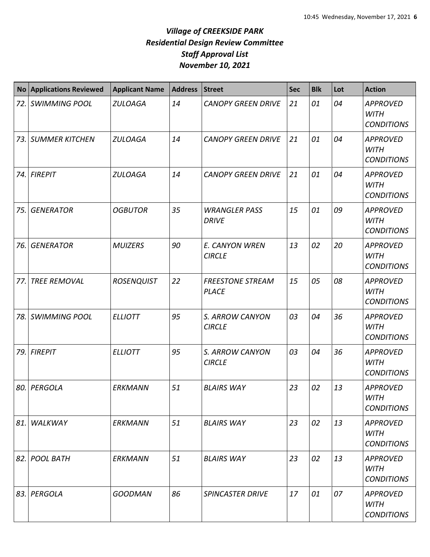| No    | <b>Applications Reviewed</b> | <b>Applicant Name</b> | <b>Address</b> | <b>Street</b>                           | <b>Sec</b> | <b>Blk</b> | Lot | <b>Action</b>                                       |
|-------|------------------------------|-----------------------|----------------|-----------------------------------------|------------|------------|-----|-----------------------------------------------------|
|       | 72. SWIMMING POOL            | <b>ZULOAGA</b>        | 14             | <b>CANOPY GREEN DRIVE</b>               | 21         | 01         | 04  | <b>APPROVED</b><br><b>WITH</b><br><b>CONDITIONS</b> |
|       | 73. SUMMER KITCHEN           | <b>ZULOAGA</b>        | 14             | <b>CANOPY GREEN DRIVE</b>               | 21         | 01         | 04  | <b>APPROVED</b><br><b>WITH</b><br><b>CONDITIONS</b> |
|       | 74. FIREPIT                  | <b>ZULOAGA</b>        | 14             | <b>CANOPY GREEN DRIVE</b>               | 21         | 01         | 04  | <b>APPROVED</b><br><b>WITH</b><br><b>CONDITIONS</b> |
| 75.   | <b>GENERATOR</b>             | <b>OGBUTOR</b>        | 35             | <b>WRANGLER PASS</b><br><b>DRIVE</b>    | 15         | 01         | 09  | <b>APPROVED</b><br><b>WITH</b><br><b>CONDITIONS</b> |
| 76.   | <b>GENERATOR</b>             | <b>MUIZERS</b>        | 90             | E. CANYON WREN<br><b>CIRCLE</b>         | 13         | 02         | 20  | <b>APPROVED</b><br><b>WITH</b><br><b>CONDITIONS</b> |
| 77.   | <b>TREE REMOVAL</b>          | <b>ROSENQUIST</b>     | 22             | <b>FREESTONE STREAM</b><br><b>PLACE</b> | 15         | 05         | 08  | <b>APPROVED</b><br><b>WITH</b><br><b>CONDITIONS</b> |
| 78.   | <b>SWIMMING POOL</b>         | <b>ELLIOTT</b>        | 95             | S. ARROW CANYON<br><b>CIRCLE</b>        | 03         | 04         | 36  | <b>APPROVED</b><br><b>WITH</b><br><b>CONDITIONS</b> |
| 79. l | <b>FIREPIT</b>               | <b>ELLIOTT</b>        | 95             | S. ARROW CANYON<br><b>CIRCLE</b>        | 03         | 04         | 36  | <b>APPROVED</b><br><b>WITH</b><br><b>CONDITIONS</b> |
|       | 80. PERGOLA                  | <b>ERKMANN</b>        | 51             | <b>BLAIRS WAY</b>                       | 23         | 02         | 13  | <b>APPROVED</b><br><b>WITH</b><br><b>CONDITIONS</b> |
| 81.   | WALKWAY                      | <b>ERKMANN</b>        | 51             | <b>BLAIRS WAY</b>                       | 23         | 02         | 13  | <b>APPROVED</b><br><b>WITH</b><br><b>CONDITIONS</b> |
|       | 82. POOL BATH                | <b>ERKMANN</b>        | 51             | <b>BLAIRS WAY</b>                       | 23         | 02         | 13  | <b>APPROVED</b><br><b>WITH</b><br><b>CONDITIONS</b> |
|       | 83. PERGOLA                  | <b>GOODMAN</b>        | 86             | <b>SPINCASTER DRIVE</b>                 | 17         | 01         | 07  | <b>APPROVED</b><br>WITH<br><b>CONDITIONS</b>        |